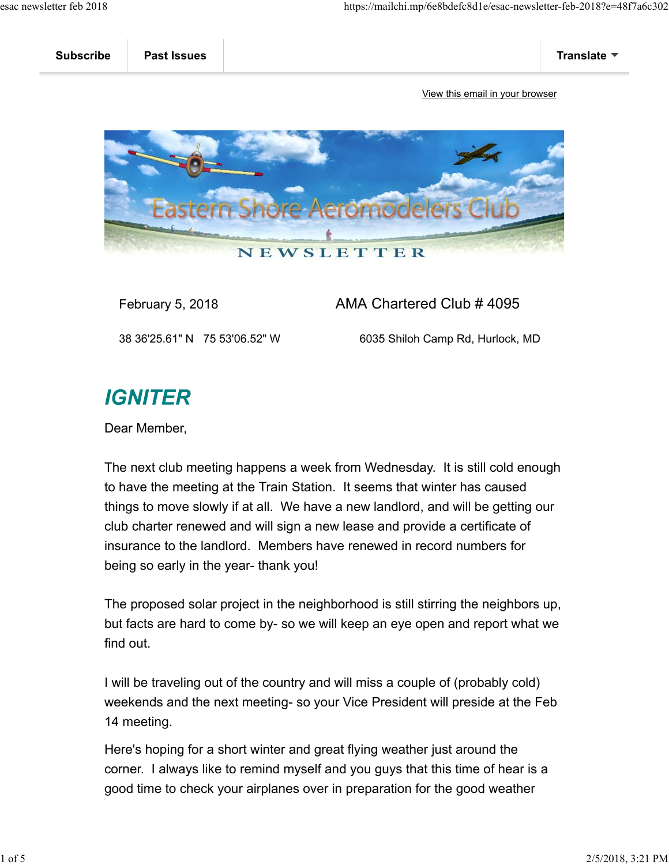| <b>Subscribe</b> | <b>Past Issues</b> | Translate $\Psi$ |
|------------------|--------------------|------------------|
|                  |                    |                  |

View this email in your browser



February 5, 2018 **AMA Chartered Club # 4095** 

38 36'25.61" N 75 53'06.52" W 6035 Shiloh Camp Rd, Hurlock, MD

## **IGNITER**

Dear Member,

The next club meeting happens a week from Wednesday. It is still cold enough to have the meeting at the Train Station. It seems that winter has caused things to move slowly if at all. We have a new landlord, and will be getting our club charter renewed and will sign a new lease and provide a certificate of insurance to the landlord. Members have renewed in record numbers for being so early in the year- thank you!

The proposed solar project in the neighborhood is still stirring the neighbors up, but facts are hard to come by- so we will keep an eye open and report what we find out.

I will be traveling out of the country and will miss a couple of (probably cold) weekends and the next meeting- so your Vice President will preside at the Feb 14 meeting.

Here's hoping for a short winter and great flying weather just around the corner. I always like to remind myself and you guys that this time of hear is a good time to check your airplanes over in preparation for the good weather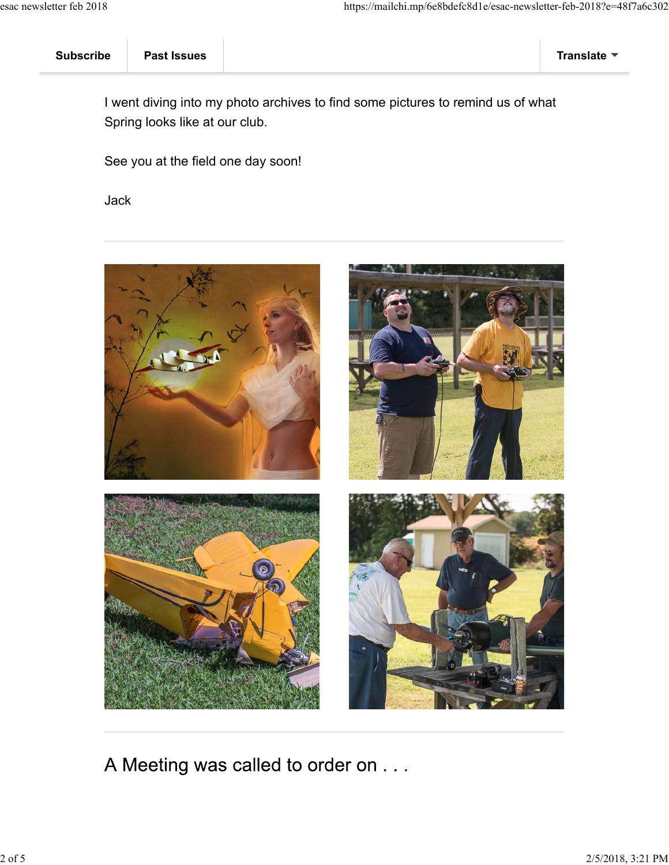| <b>Subscribe</b> | <b>Past Issues</b> |  | <b>Translate</b> |
|------------------|--------------------|--|------------------|
|------------------|--------------------|--|------------------|

I went diving into my photo archives to find some pictures to remind us of what Spring looks like at our club.

See you at the field one day soon!

Jack



A Meeting was called to order on . . .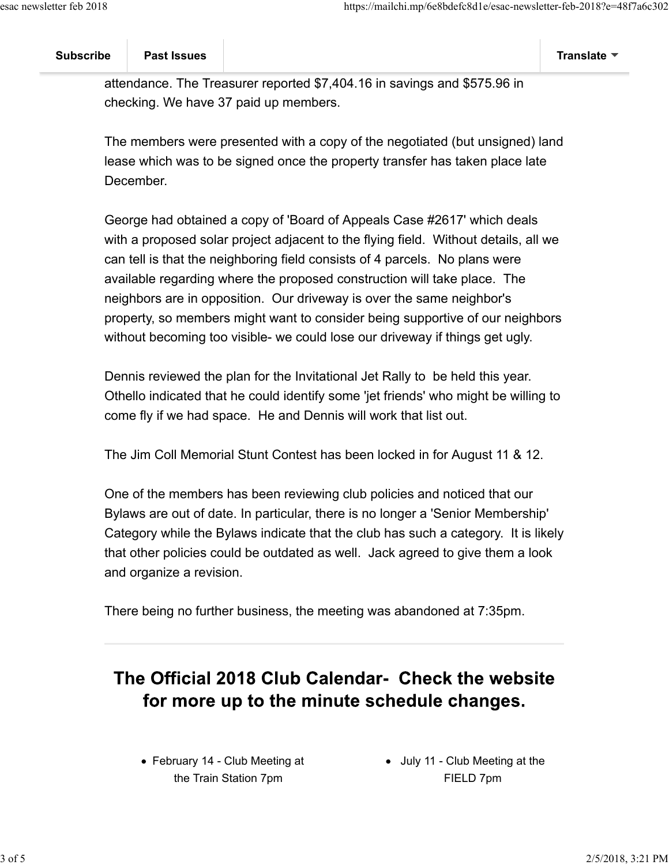## **Subscribe Past Issues Translate**

attendance. The Treasurer reported \$7,404.16 in savings and \$575.96 in checking. We have 37 paid up members.

The members were presented with a copy of the negotiated (but unsigned) land lease which was to be signed once the property transfer has taken place late December.

George had obtained a copy of 'Board of Appeals Case #2617' which deals with a proposed solar project adjacent to the flying field. Without details, all we can tell is that the neighboring field consists of 4 parcels. No plans were available regarding where the proposed construction will take place. The neighbors are in opposition. Our driveway is over the same neighbor's property, so members might want to consider being supportive of our neighbors without becoming too visible- we could lose our driveway if things get ugly.

Dennis reviewed the plan for the Invitational Jet Rally to be held this year. Othello indicated that he could identify some 'jet friends' who might be willing to come fly if we had space. He and Dennis will work that list out.

The Jim Coll Memorial Stunt Contest has been locked in for August 11 & 12.

One of the members has been reviewing club policies and noticed that our Bylaws are out of date. In particular, there is no longer a 'Senior Membership' Category while the Bylaws indicate that the club has such a category. It is likely that other policies could be outdated as well. Jack agreed to give them a look and organize a revision.

There being no further business, the meeting was abandoned at 7:35pm.

## The Official 2018 Club Calendar- Check the website for more up to the minute schedule changes.

February 14 - Club Meeting at the Train Station 7pm

• July 11 - Club Meeting at the FIELD 7pm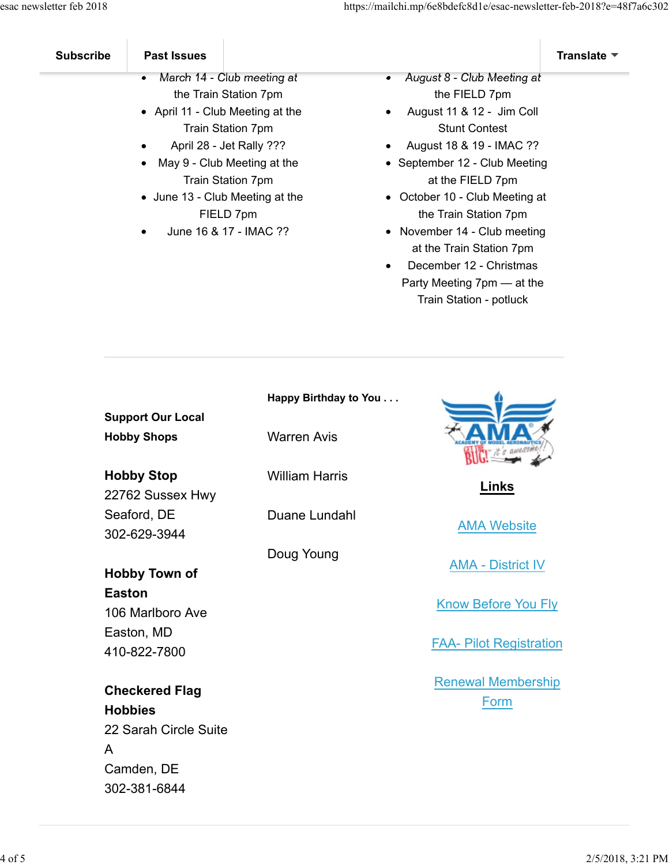| <b>Subscribe</b> | <b>Past Issues</b>                       |                                        | <b>Translate</b> |
|------------------|------------------------------------------|----------------------------------------|------------------|
|                  | March 14 - Club meeting at<br>$\bullet$  | August 8 - Club Meeting at<br>٠        |                  |
|                  | the Train Station 7pm                    | the FIELD 7pm                          |                  |
|                  | • April 11 - Club Meeting at the         | August 11 & 12 - Jim Coll<br>$\bullet$ |                  |
|                  | <b>Train Station 7pm</b>                 | <b>Stunt Contest</b>                   |                  |
|                  | April 28 - Jet Rally ???<br>$\bullet$    | August 18 & 19 - IMAC ??<br>$\bullet$  |                  |
|                  | May 9 - Club Meeting at the<br>$\bullet$ | • September 12 - Club Meeting          |                  |
|                  | Train Station 7pm                        | at the FIELD 7pm                       |                  |

- June 13 Club Meeting at the FIELD 7pm
- June 16 & 17 IMAC ??
- at the FIELD 7pm October 10 - Club Meeting at
- the Train Station 7pm • November 14 - Club meeting
- at the Train Station 7pm
- December 12 Christmas  $\bullet$ Party Meeting 7pm — at the Train Station - potluck

|                                                                  | Happy Birthday to You |                                   |
|------------------------------------------------------------------|-----------------------|-----------------------------------|
| <b>Support Our Local</b><br><b>Hobby Shops</b>                   | <b>Warren Avis</b>    |                                   |
| <b>Hobby Stop</b><br>22762 Sussex Hwy                            | <b>William Harris</b> | Links                             |
| Seaford, DE<br>302-629-3944                                      | Duane Lundahl         | <b>AMA Website</b>                |
| Hobby Town of                                                    | Doug Young            | <b>AMA - District IV</b>          |
| <b>Easton</b><br>106 Marlboro Ave                                |                       | <b>Know Before You Fly</b>        |
| Easton, MD<br>410-822-7800                                       |                       | <b>FAA- Pilot Registration</b>    |
| <b>Checkered Flag</b><br><b>Hobbies</b><br>22 Sarah Circle Suite |                       | <b>Renewal Membership</b><br>Form |

A

Camden, DE 302-381-6844